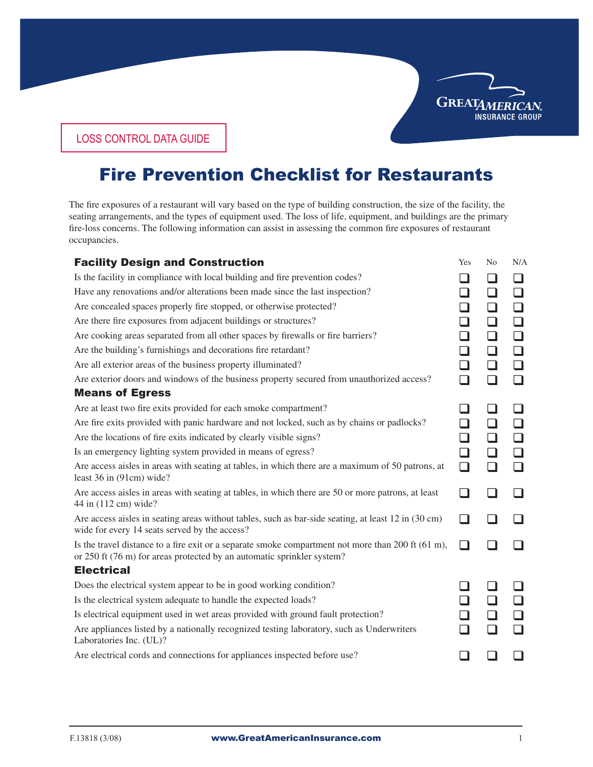

LOSS CONTROL DATA GUIDE

## Fire Prevention Checklist for Restaurants

The fire exposures of a restaurant will vary based on the type of building construction, the size of the facility, the seating arrangements, and the types of equipment used. The loss of life, equipment, and buildings are the primary fire-loss concerns. The following information can assist in assessing the common fire exposures of restaurant occupancies.

| <b>Facility Design and Construction</b>                                                                                                                                                 | Yes                      | N <sub>o</sub> | N/A    |
|-----------------------------------------------------------------------------------------------------------------------------------------------------------------------------------------|--------------------------|----------------|--------|
| Is the facility in compliance with local building and fire prevention codes?                                                                                                            |                          |                |        |
| Have any renovations and/or alterations been made since the last inspection?                                                                                                            |                          | l 1            | ❏      |
| Are concealed spaces properly fire stopped, or otherwise protected?                                                                                                                     | $\Box$                   | ப              | ❏      |
| Are there fire exposures from adjacent buildings or structures?                                                                                                                         | $\overline{\phantom{a}}$ | $\blacksquare$ | $\Box$ |
| Are cooking areas separated from all other spaces by firewalls or fire barriers?                                                                                                        | $\Box$                   | ப              | □      |
| Are the building's furnishings and decorations fire retardant?                                                                                                                          |                          | ப              |        |
| Are all exterior areas of the business property illuminated?                                                                                                                            | $\Box$                   | $\blacksquare$ | ∩      |
| Are exterior doors and windows of the business property secured from unauthorized access?                                                                                               | $\Box$                   |                |        |
| <b>Means of Egress</b>                                                                                                                                                                  |                          |                |        |
| Are at least two fire exits provided for each smoke compartment?                                                                                                                        |                          |                |        |
| Are fire exits provided with panic hardware and not locked, such as by chains or padlocks?                                                                                              |                          |                |        |
| Are the locations of fire exits indicated by clearly visible signs?                                                                                                                     |                          |                |        |
| Is an emergency lighting system provided in means of egress?                                                                                                                            | ❏                        | l 1            | □      |
| Are access aisles in areas with seating at tables, in which there are a maximum of 50 patrons, at<br>least 36 in (91cm) wide?                                                           | $\Box$                   |                |        |
| Are access aisles in areas with seating at tables, in which there are 50 or more patrons, at least<br>44 in (112 cm) wide?                                                              | $\Box$                   |                |        |
| Are access aisles in seating areas without tables, such as bar-side seating, at least 12 in (30 cm)<br>wide for every 14 seats served by the access?                                    | H                        |                |        |
| Is the travel distance to a fire exit or a separate smoke compartment not more than 200 ft $(61 \text{ m})$ ,<br>or 250 ft (76 m) for areas protected by an automatic sprinkler system? | l 1                      |                |        |
| <b>Electrical</b>                                                                                                                                                                       |                          |                |        |
| Does the electrical system appear to be in good working condition?                                                                                                                      |                          |                |        |
| Is the electrical system adequate to handle the expected loads?                                                                                                                         |                          |                |        |
| Is electrical equipment used in wet areas provided with ground fault protection?                                                                                                        |                          |                |        |
| Are appliances listed by a nationally recognized testing laboratory, such as Underwriters<br>Laboratories Inc. (UL)?                                                                    |                          |                |        |
| Are electrical cords and connections for appliances inspected before use?                                                                                                               |                          |                |        |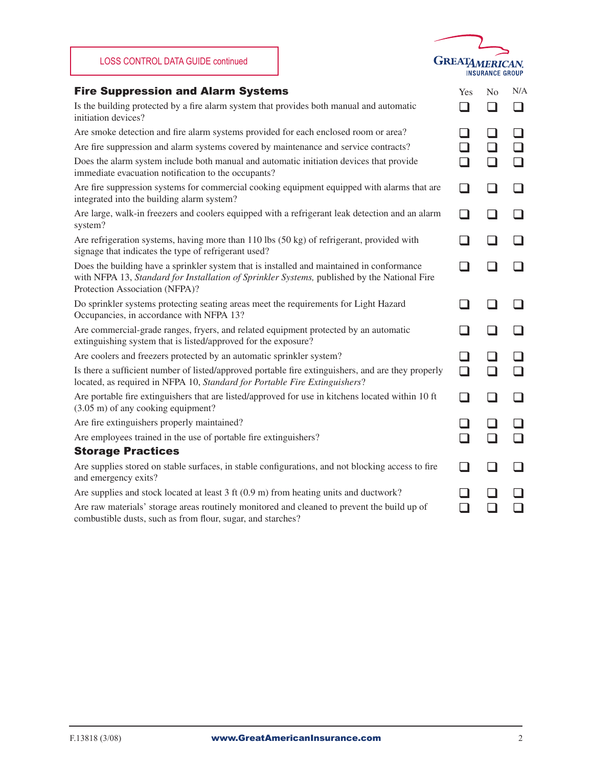

| <b>Fire Suppression and Alarm Systems</b>                                                                                                                                                                                   | Yes    | No  | N/A |
|-----------------------------------------------------------------------------------------------------------------------------------------------------------------------------------------------------------------------------|--------|-----|-----|
| Is the building protected by a fire alarm system that provides both manual and automatic<br>initiation devices?                                                                                                             |        |     |     |
| Are smoke detection and fire alarm systems provided for each enclosed room or area?                                                                                                                                         |        |     |     |
| Are fire suppression and alarm systems covered by maintenance and service contracts?                                                                                                                                        |        |     |     |
| Does the alarm system include both manual and automatic initiation devices that provide<br>immediate evacuation notification to the occupants?                                                                              |        |     |     |
| Are fire suppression systems for commercial cooking equipment equipped with alarms that are<br>integrated into the building alarm system?                                                                                   |        |     |     |
| Are large, walk-in freezers and coolers equipped with a refrigerant leak detection and an alarm<br>system?                                                                                                                  | - 1    |     |     |
| Are refrigeration systems, having more than $110$ lbs $(50 \text{ kg})$ of refrigerant, provided with<br>signage that indicates the type of refrigerant used?                                                               | - 1    |     |     |
| Does the building have a sprinkler system that is installed and maintained in conformance<br>with NFPA 13, Standard for Installation of Sprinkler Systems, published by the National Fire<br>Protection Association (NFPA)? |        |     |     |
| Do sprinkler systems protecting seating areas meet the requirements for Light Hazard<br>Occupancies, in accordance with NFPA 13?                                                                                            |        |     |     |
| Are commercial-grade ranges, fryers, and related equipment protected by an automatic<br>extinguishing system that is listed/approved for the exposure?                                                                      |        |     |     |
| Are coolers and freezers protected by an automatic sprinkler system?                                                                                                                                                        | コ      |     |     |
| Is there a sufficient number of listed/approved portable fire extinguishers, and are they properly<br>located, as required in NFPA 10, Standard for Portable Fire Extinguishers?                                            | $\Box$ |     |     |
| Are portable fire extinguishers that are listed/approved for use in kitchens located within 10 ft<br>(3.05 m) of any cooking equipment?                                                                                     | П      | - 1 |     |
| Are fire extinguishers properly maintained?                                                                                                                                                                                 |        |     |     |
| Are employees trained in the use of portable fire extinguishers?                                                                                                                                                            |        |     |     |
| <b>Storage Practices</b>                                                                                                                                                                                                    |        |     |     |
| Are supplies stored on stable surfaces, in stable configurations, and not blocking access to fire<br>and emergency exits?                                                                                                   | H      |     |     |
| Are supplies and stock located at least 3 ft (0.9 m) from heating units and ductwork?                                                                                                                                       |        |     |     |
| Are raw materials' storage areas routinely monitored and cleaned to prevent the build up of<br>combustible dusts, such as from flour, sugar, and starches?                                                                  |        |     |     |